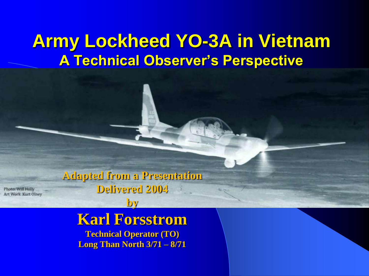## **Army Lockheed YO-3A in Vietnam A Technical Observer's Perspective**

**Adapted from a Presentation Delivered 2004** 

Photo: Will Holly Art Work Kurt Olney

**by**

## **Karl Forsstrom**

**Technical Operator (TO) Long Than North 3/71 – 8/71**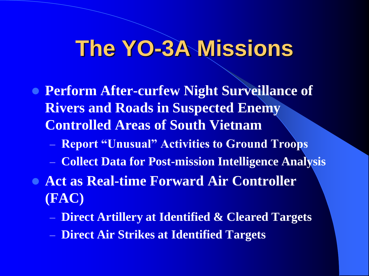# **The YO-3A Missions**

- **Perform After-curfew Night Surveillance of Rivers and Roads in Suspected Enemy Controlled Areas of South Vietnam**
	- **Report "Unusual" Activities to Ground Troops**
	- **Collect Data for Post-mission Intelligence Analysis**
- **Act as Real-time Forward Air Controller (FAC)** 
	- **Direct Artillery at Identified & Cleared Targets**
	- **Direct Air Strikes at Identified Targets**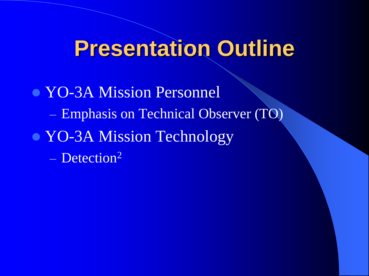# **Presentation Outline**

• YO-3A Mission Personnel – Emphasis on Technical Observer (TO) • YO-3A Mission Technology – Detection<sup>2</sup>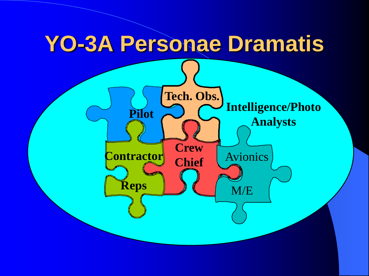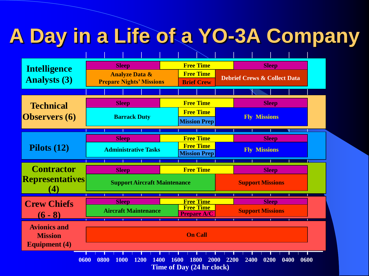# **A Day in a Life of a YO-3A Company**

| <b>Intelligence</b><br><b>Analysts (3)</b>                    | <b>Sleep</b><br><b>Analyze Data &amp;</b><br><b>Prepare Nights' Missions</b> | <b>Free Time</b><br><b>Free Time</b><br><b>Brief Crew</b>                          | <b>Sleep</b><br><b>Debrief Crews &amp; Collect Data</b> |
|---------------------------------------------------------------|------------------------------------------------------------------------------|------------------------------------------------------------------------------------|---------------------------------------------------------|
| <b>Technical</b><br><b>Observers</b> (6)                      | <b>Sleep</b><br><b>Barrack Duty</b>                                          | <b>Free Time</b><br><b>Free Time</b>                                               | <b>Sleep</b><br><b>Fly Missions</b>                     |
| Pilots $(12)$                                                 | <b>Sleep</b><br><b>Administrative Tasks</b>                                  | <b>Mission Prep</b><br><b>Free Time</b><br><b>Free Time</b><br><b>Mission Prep</b> | <b>Sleep</b><br><b>Fly Missions</b>                     |
| <b>Contractor</b><br><b>Representatives</b><br>$\bf(4)$       | <b>Sleep</b><br><b>Support Aircraft Maintenance</b>                          | <b>Free Time</b>                                                                   | <b>Sleep</b><br><b>Support Missions</b>                 |
| <b>Crew Chiefs</b><br>$(6 - 8)$                               | <b>Sleep</b><br><b>Aircraft Maintenance</b>                                  | <b>Free Time</b><br><b>Free Time</b><br><b>Prepare A/C</b>                         | <b>Sleep</b><br><b>Support Missions</b>                 |
| <b>Avionics and</b><br><b>Mission</b><br><b>Equipment</b> (4) |                                                                              | <b>On Call</b>                                                                     |                                                         |
| 0600                                                          | 0800<br><b>1000</b><br>1200<br>1400                                          | 1800<br>1600<br>2000<br>Time of Day (24 hr clock)                                  | 2200<br>2400<br>0200<br>0400<br>0600                    |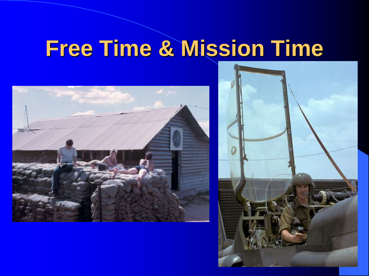# **Free Time & Mission Time**



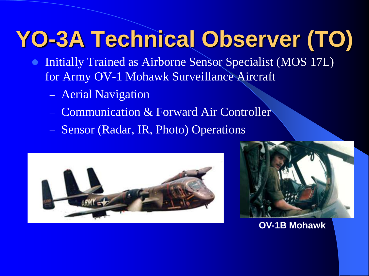# **YO-3A Technical Observer (TO)**

- Initially Trained as Airborne Sensor Specialist (MOS 17L) for Army OV-1 Mohawk Surveillance Aircraft
	- Aerial Navigation
	- Communication & Forward Air Controller
	- Sensor (Radar, IR, Photo) Operations





**OV-1B Mohawk**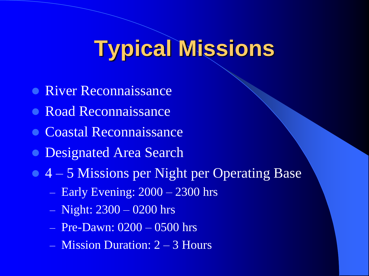# **Typical Missions**

- **River Reconnaissance**
- **Road Reconnaissance**
- **Coastal Reconnaissance**
- **Designated Area Search**
- 4 5 Missions per Night per Operating Base
	- Early Evening: 2000 2300 hrs
	- Night: 2300 0200 hrs
	- Pre-Dawn: 0200 0500 hrs
	- Mission Duration: 2 3 Hours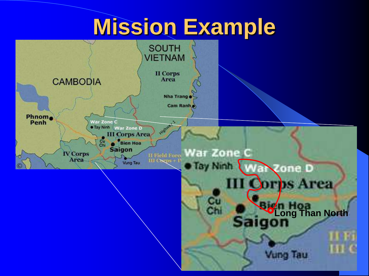# **Mission Example**

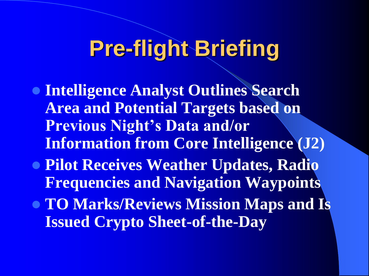# **Pre-flight Briefing**

- **Intelligence Analyst Outlines Search Area and Potential Targets based on Previous Night's Data and/or Information from Core Intelligence (J2)**
- **Pilot Receives Weather Updates, Radio Frequencies and Navigation Waypoints**
- **TO Marks/Reviews Mission Maps and Is Issued Crypto Sheet-of-the-Day**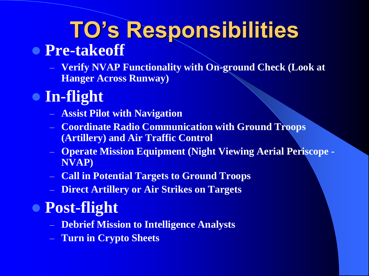# **TO's Responsibilities**

## **Pre-takeoff**

– **Verify NVAP Functionality with On-ground Check (Look at Hanger Across Runway)**

## **In-flight**

- **Assist Pilot with Navigation**
- **Coordinate Radio Communication with Ground Troops (Artillery) and Air Traffic Control**
- **Operate Mission Equipment (Night Viewing Aerial Periscope - NVAP)**
- **Call in Potential Targets to Ground Troops**
- **Direct Artillery or Air Strikes on Targets**

## **Post-flight**

- **Debrief Mission to Intelligence Analysts**
- **Turn in Crypto Sheets**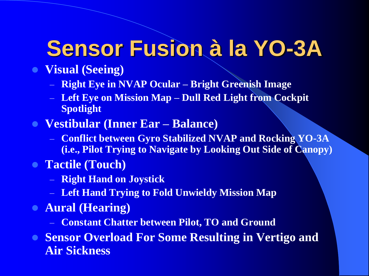# **Sensor Fusion à la YO-3A**

- **Visual (Seeing)**
	- **Right Eye in NVAP Ocular – Bright Greenish Image**
	- **Left Eye on Mission Map – Dull Red Light from Cockpit Spotlight**
- **Vestibular (Inner Ear – Balance)**
	- **Conflict between Gyro Stabilized NVAP and Rocking YO-3A (i.e., Pilot Trying to Navigate by Looking Out Side of Canopy)**
- **Tactile (Touch)**
	- **Right Hand on Joystick**
	- **Left Hand Trying to Fold Unwieldy Mission Map**
- **Aural (Hearing)**
	- **Constant Chatter between Pilot, TO and Ground**
- **Sensor Overload For Some Resulting in Vertigo and Air Sickness**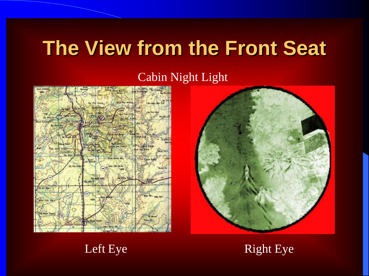# **The View from the Front Seat**

## Cabin Night Light





### Left Eye Right Eye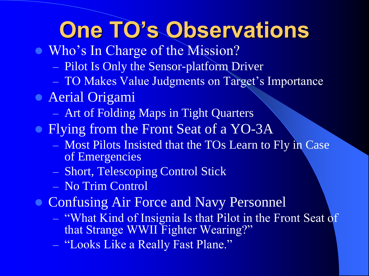# **One TO's Observations**

- Who's In Charge of the Mission?
	- Pilot Is Only the Sensor-platform Driver
	- TO Makes Value Judgments on Target's Importance
- Aerial Origami
	- Art of Folding Maps in Tight Quarters
- Flying from the Front Seat of a YO-3A
	- Most Pilots Insisted that the TOs Learn to Fly in Case of Emergencies
	- Short, Telescoping Control Stick
	- No Trim Control
- **Confusing Air Force and Navy Personnel** 
	- "What Kind of Insignia Is that Pilot in the Front Seat of that Strange WWII Fighter Wearing?"
	- "Looks Like a Really Fast Plane."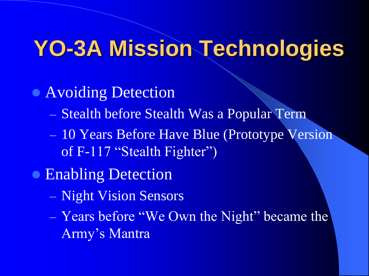# **YO-3A Mission Technologies**

- **Avoiding Detection** 
	- Stealth before Stealth Was a Popular Term
	- 10 Years Before Have Blue (Prototype Version of F-117 "Stealth Fighter")
- **Enabling Detection** 
	- Night Vision Sensors
	- Years before "We Own the Night" became the Army's Mantra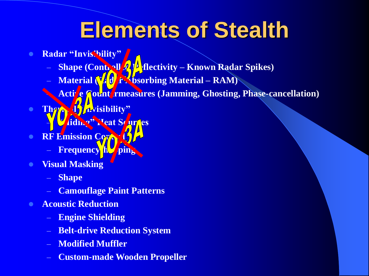# **Elements of Stealth**

- **Radar "Invisibility"**
	- **Shape (Controll All Rectivity Known Radar Spikes)**
	- **Material (Kdd** f Sorbing Material RAM)
	- **Active Count rmeasures (Jamming, Ghosting, Phase-cancellation)**
- **Thermal "Invisibility" Hiding" Heat Sources**
- **RF Emission Control** 
	- **Frequency h**
- **Visual Masking**
	- **Shape**
	- **Camouflage Paint Patterns**
- **Acoustic Reduction**
	- **Engine Shielding**
	- **Belt-drive Reduction System**
	- **Modified Muffler**
	- **Custom-made Wooden Propeller**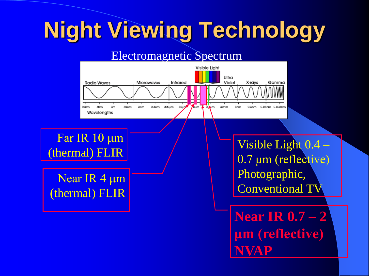# **Night Viewing Technology**

### Electromagnetic Spectrum



Far IR 10 μm (thermal) FLIR

Near IR 4 μm (thermal) FLIR Visible Light 0.4 – 0.7 μm (reflective) Photographic, Conventional TV

**Near IR 0.7 – 2 μm (reflective) NVAP**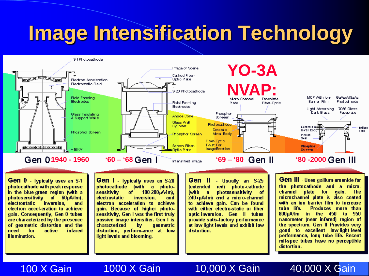# **Image Intensification Technology**



Gen 0 - Typically uses an S-1 photocathode with peak response in the blue-green region (with a photosensitivity of 60µA/lm), **electrostatic** inversion. and electron accel-eration to achieve gain. Consequently, Gen 0 tubes are characterized by the presence of geometric distortion and the need for active infared illumination.

Gen | Typically uses an S-20 photocathode (with a photosensitivity 180-200μA/lm), of electrostatic inversion. and electron acceleration to achieve gain. Because of higher photosensitivity, Gen I was the first truly passive image intensifier. Gen I is characterized bv. geometric distortion, perform-ance at low light levels and blooming.

Gen II - Usually an S-25 red) photo-cathode *(extended)* photosensitivity íwith a <sup>of</sup> 240+µA/lm) and a micro-channel to achieve gain. Can be found with either electro-static or fiber optic-inversion. Gen II tubes provide satis-factory performance at low light levels and exhibit low distortion.

**Gen III** - Uses gallium-arsenide for the photocathode and a microchannel plate for gain. - The microchannel plate is also coated with an ion barrier film to increase tube life. Produces more than in the 450 to 950 800µA/lm nanometer (near infared) region of the spectrum. Gen II Provides very good to excellent low-light-level performance, long tube life. Recent mil-spec tubes have no perceptible distortion.

### 100 X Gain

### 1000 X Gain

### 10,000 X Gain

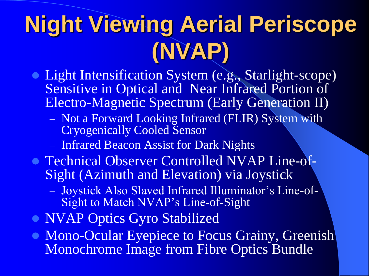# **Night Viewing Aerial Periscope (NVAP)**

- **Light Intensification System (e.g., Starlight-scope)** Sensitive in Optical and Near Infrared Portion of Electro-Magnetic Spectrum (Early Generation II)
	- Not a Forward Looking Infrared (FLIR) System with Cryogenically Cooled Sensor
	- Infrared Beacon Assist for Dark Nights
- **Technical Observer Controlled NVAP Line-of-**Sight (Azimuth and Elevation) via Joystick
	- Joystick Also Slaved Infrared Illuminator's Line-of-Sight to Match NVAP's Line-of-Sight
- NVAP Optics Gyro Stabilized
- Mono-Ocular Eyepiece to Focus Grainy, Greenish Monochrome Image from Fibre Optics Bundle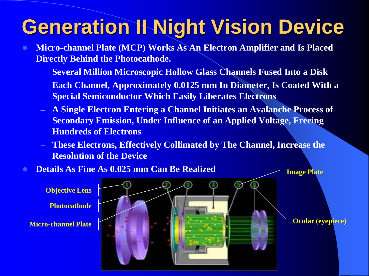# **Generation II Night Vision Device**

- **Micro-channel Plate (MCP) Works As An Electron Amplifier and Is Placed Directly Behind the Photocathode.** 
	- **Several Million Microscopic Hollow Glass Channels Fused Into a Disk**
	- **Each Channel, Approximately 0.0125 mm In Diameter, Is Coated With a Special Semiconductor Which Easily Liberates Electrons**
	- **A Single Electron Entering a Channel Initiates an Avalanche Process of Secondary Emission, Under Influence of an Applied Voltage, Freeing Hundreds of Electrons**
	- **These Electrons, Effectively Collimated by The Channel, Increase the Resolution of the Device**

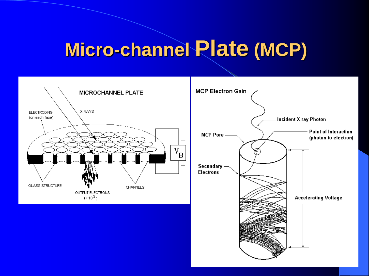# **Micro-channel Plate (MCP)**